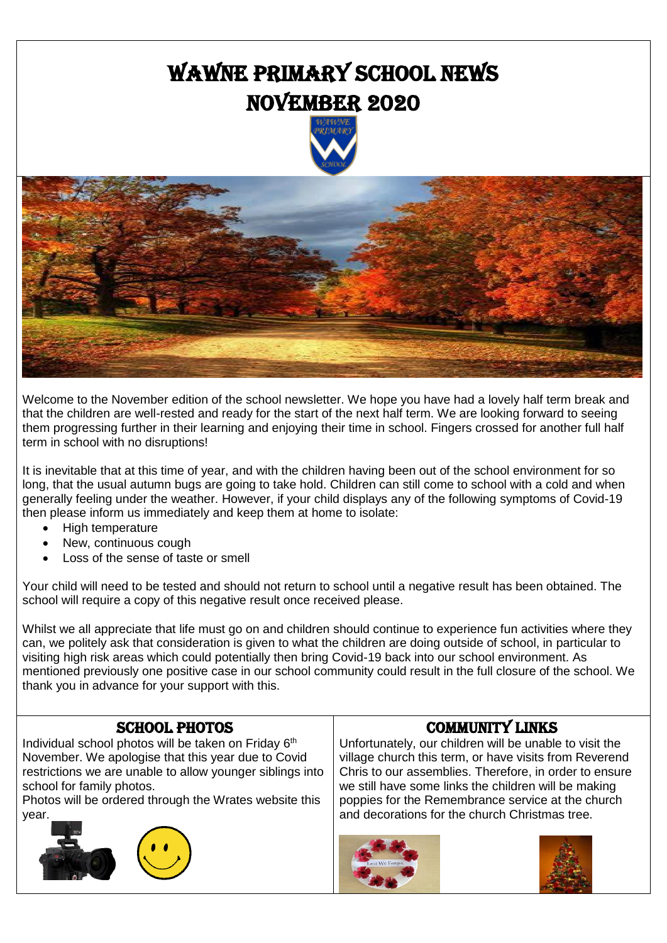# Wawne Primary School News NOVEMBER 2020





Welcome to the November edition of the school newsletter. We hope you have had a lovely half term break and that the children are well-rested and ready for the start of the next half term. We are looking forward to seeing them progressing further in their learning and enjoying their time in school. Fingers crossed for another full half term in school with no disruptions!

It is inevitable that at this time of year, and with the children having been out of the school environment for so long, that the usual autumn bugs are going to take hold. Children can still come to school with a cold and when generally feeling under the weather. However, if your child displays any of the following symptoms of Covid-19 then please inform us immediately and keep them at home to isolate:

- High temperature
- New, continuous cough
- Loss of the sense of taste or smell

Your child will need to be tested and should not return to school until a negative result has been obtained. The school will require a copy of this negative result once received please.

Whilst we all appreciate that life must go on and children should continue to experience fun activities where they can, we politely ask that consideration is given to what the children are doing outside of school, in particular to visiting high risk areas which could potentially then bring Covid-19 back into our school environment. As mentioned previously one positive case in our school community could result in the full closure of the school. We thank you in advance for your support with this.

### SCHOOL PHOTOS

Individual school photos will be taken on Friday 6<sup>th</sup> November. We apologise that this year due to Covid restrictions we are unable to allow younger siblings into school for family photos.

Photos will be ordered through the Wrates website this year.









Community links Unfortunately, our children will be unable to visit the

village church this term, or have visits from Reverend Chris to our assemblies. Therefore, in order to ensure we still have some links the children will be making poppies for the Remembrance service at the church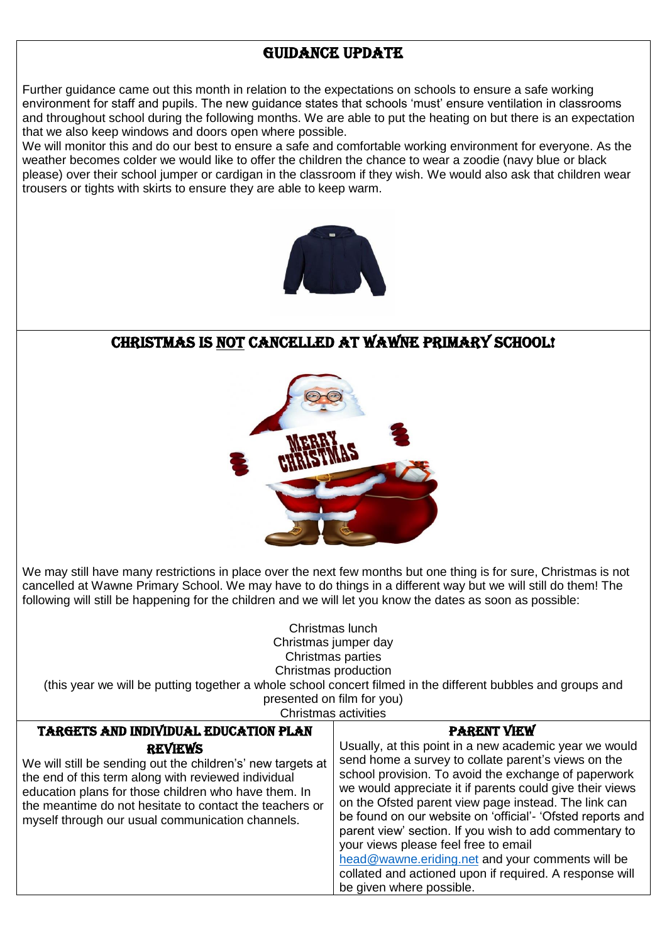## Guidance update

Further guidance came out this month in relation to the expectations on schools to ensure a safe working environment for staff and pupils. The new guidance states that schools 'must' ensure ventilation in classrooms and throughout school during the following months. We are able to put the heating on but there is an expectation that we also keep windows and doors open where possible.

We will monitor this and do our best to ensure a safe and comfortable working environment for everyone. As the weather becomes colder we would like to offer the children the chance to wear a zoodie (navy blue or black please) over their school jumper or cardigan in the classroom if they wish. We would also ask that children wear trousers or tights with skirts to ensure they are able to keep warm.



### Christmas is not cancelled at Wawne Primary school!



We may still have many restrictions in place over the next few months but one thing is for sure. Christmas is not cancelled at Wawne Primary School. We may have to do things in a different way but we will still do them! The following will still be happening for the children and we will let you know the dates as soon as possible:

Christmas lunch Christmas jumper day Christmas parties Christmas production (this year we will be putting together a whole school concert filmed in the different bubbles and groups and presented on film for you) Christmas activities Targets and Individual Education Plan **REVIEWS** We will still be sending out the children's' new targets at the end of this term along with reviewed individual education plans for those children who have them. In the meantime do not hesitate to contact the teachers or myself through our usual communication channels. Parent view Usually, at this point in a new academic year we would send home a survey to collate parent's views on the school provision. To avoid the exchange of paperwork we would appreciate it if parents could give their views on the Ofsted parent view page instead. The link can be found on our website on 'official'- 'Ofsted reports and

parent view' section. If you wish to add commentary to your views please feel free to email [head@wawne.eriding.net](mailto:head@wawne.eriding.net) and your comments will be collated and actioned upon if required. A response will be given where possible.